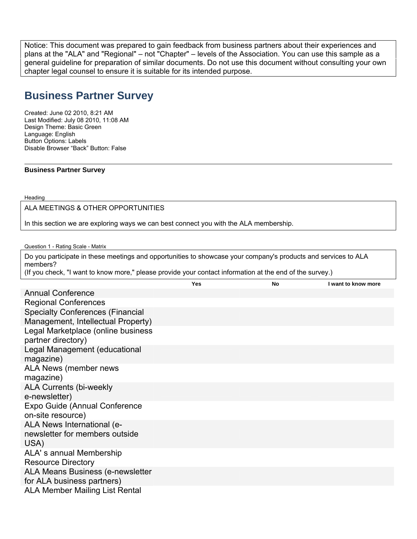Notice: This document was prepared to gain feedback from business partners about their experiences and plans at the "ALA" and "Regional" – not "Chapter" – levels of the Association. You can use this sample as a general guideline for preparation of similar documents. Do not use this document without consulting your own chapter legal counsel to ensure it is suitable for its intended purpose.

# **Business Partner Survey**

Created: June 02 2010, 8:21 AM Last Modified: July 08 2010, 11:08 AM Design Theme: Basic Green Language: English Button Options: Labels Disable Browser "Back" Button: False

## **Business Partner Survey**

Heading

ALA MEETINGS & OTHER OPPORTUNITIES

In this section we are exploring ways we can best connect you with the ALA membership.

Question 1 - Rating Scale - Matrix

Do you participate in these meetings and opportunities to showcase your company's products and services to ALA members? (If you check, "I want to know more," please provide your contact information at the end of the survey.)

|                                                                      | Yes | <b>No</b> | I want to know more |
|----------------------------------------------------------------------|-----|-----------|---------------------|
| <b>Annual Conference</b>                                             |     |           |                     |
| <b>Regional Conferences</b>                                          |     |           |                     |
| <b>Specialty Conferences (Financial</b>                              |     |           |                     |
| Management, Intellectual Property)                                   |     |           |                     |
| Legal Marketplace (online business<br>partner directory)             |     |           |                     |
| Legal Management (educational<br>magazine)                           |     |           |                     |
| ALA News (member news<br>magazine)                                   |     |           |                     |
| <b>ALA Currents (bi-weekly</b><br>e-newsletter)                      |     |           |                     |
| Expo Guide (Annual Conference<br>on-site resource)                   |     |           |                     |
| ALA News International (e-<br>newsletter for members outside<br>USA) |     |           |                     |
| ALA's annual Membership<br><b>Resource Directory</b>                 |     |           |                     |
| ALA Means Business (e-newsletter<br>for ALA business partners)       |     |           |                     |
| <b>ALA Member Mailing List Rental</b>                                |     |           |                     |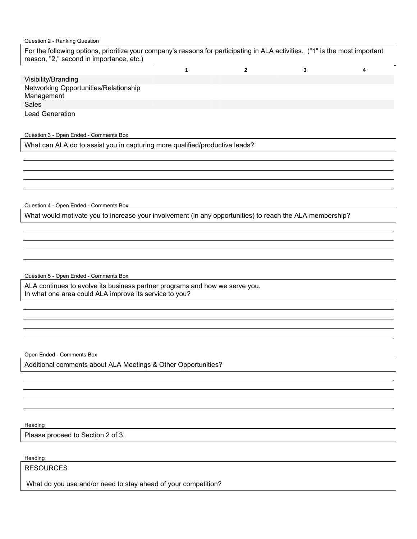### Question 2 - Ranking Question

For the following options, prioritize your company's reasons for participating in ALA activities. ("1" is the most important reason, "2," second in importance, etc.)

| Visibility/Branding                                 |  |  |
|-----------------------------------------------------|--|--|
| Networking Opportunities/Relationship<br>Management |  |  |
| <b>Sales</b>                                        |  |  |
| Lead Generation                                     |  |  |

Question 3 - Open Ended - Comments Box

What can ALA do to assist you in capturing more qualified/productive leads?

Question 4 - Open Ended - Comments Box

What would motivate you to increase your involvement (in any opportunities) to reach the ALA membership?

Question 5 - Open Ended - Comments Box

ALA continues to evolve its business partner programs and how we serve you. In what one area could ALA improve its service to you?

Open Ended - Comments Box

Additional comments about ALA Meetings & Other Opportunities?

Heading

Please proceed to Section 2 of 3.

Heading

RESOURCES

What do you use and/or need to stay ahead of your competition?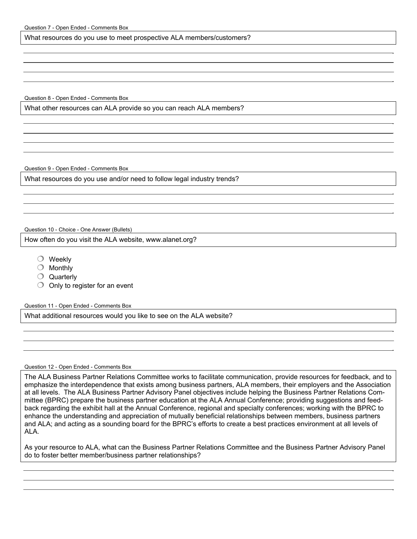What resources do you use to meet prospective ALA members/customers?

Question 8 - Open Ended - Comments Box

What other resources can ALA provide so you can reach ALA members?

Question 9 - Open Ended - Comments Box

What resources do you use and/or need to follow legal industry trends?

Question 10 - Choice - One Answer (Bullets)

How often do you visit the ALA website, www.alanet.org?

- $\bigcirc$  Weekly
- $\bigcirc$  Monthly
- $\bigcirc$  Quarterly
- $\bigcirc$  Only to register for an event

Question 11 - Open Ended - Comments Box

What additional resources would you like to see on the ALA website?

#### Question 12 - Open Ended - Comments Box

The ALA Business Partner Relations Committee works to facilitate communication, provide resources for feedback, and to emphasize the interdependence that exists among business partners, ALA members, their employers and the Association at all levels. The ALA Business Partner Advisory Panel objectives include helping the Business Partner Relations Committee (BPRC) prepare the business partner education at the ALA Annual Conference; providing suggestions and feedback regarding the exhibit hall at the Annual Conference, regional and specialty conferences; working with the BPRC to enhance the understanding and appreciation of mutually beneficial relationships between members, business partners and ALA; and acting as a sounding board for the BPRC's efforts to create a best practices environment at all levels of ALA.

As your resource to ALA, what can the Business Partner Relations Committee and the Business Partner Advisory Panel do to foster better member/business partner relationships?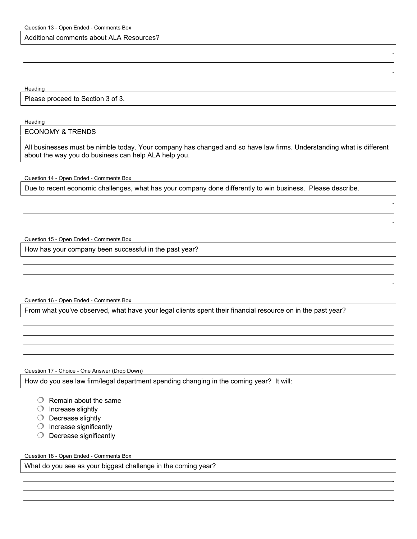Additional comments about ALA Resources?

Heading

Please proceed to Section 3 of 3.

**Heading** 

## ECONOMY & TRENDS

All businesses must be nimble today. Your company has changed and so have law firms. Understanding what is different about the way you do business can help ALA help you.

Question 14 - Open Ended - Comments Box

Due to recent economic challenges, what has your company done differently to win business. Please describe.

Question 15 - Open Ended - Comments Box

How has your company been successful in the past year?

Question 16 - Open Ended - Comments Box

From what you've observed, what have your legal clients spent their financial resource on in the past year?

Question 17 - Choice - One Answer (Drop Down)

How do you see law firm/legal department spending changing in the coming year? It will:

- $\bigcirc$  Remain about the same
- $\bigcirc$  Increase slightly
- $\bigcirc$  Decrease slightly
- $\bigcirc$  Increase significantly
- $\bigcirc$  Decrease significantly

Question 18 - Open Ended - Comments Box

What do you see as your biggest challenge in the coming year?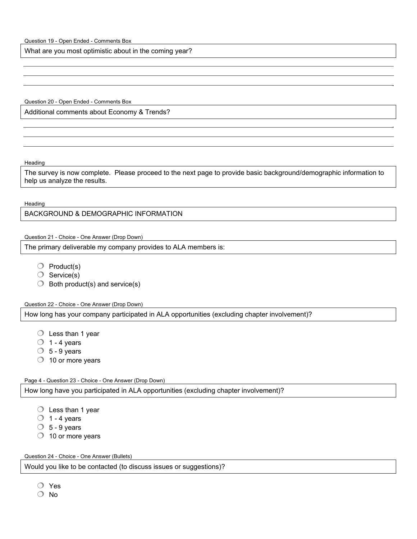What are you most optimistic about in the coming year?

Question 20 - Open Ended - Comments Box

Additional comments about Economy & Trends?

**Heading** 

The survey is now complete. Please proceed to the next page to provide basic background/demographic information to help us analyze the results.

**Heading** 

BACKGROUND & DEMOGRAPHIC INFORMATION

Question 21 - Choice - One Answer (Drop Down)

The primary deliverable my company provides to ALA members is:

- $\bigcirc$  Product(s)
- $\bigcirc$  Service(s)
- $\bigcirc$  Both product(s) and service(s)

Question 22 - Choice - One Answer (Drop Down)

How long has your company participated in ALA opportunities (excluding chapter involvement)?

- $\bigcirc$  Less than 1 year
- $\bigcirc$  1 4 years
- $\circ$  5 9 years
- $\bigcirc$  10 or more years

Page 4 - Question 23 - Choice - One Answer (Drop Down)

How long have you participated in ALA opportunities (excluding chapter involvement)?

- $\bigcirc$  Less than 1 year
- $\bigcirc$  1 4 years
- $\circ$  5 9 years
- $\bigcirc$  10 or more years

Question 24 - Choice - One Answer (Bullets)

Would you like to be contacted (to discuss issues or suggestions)?

- Yes
- O No